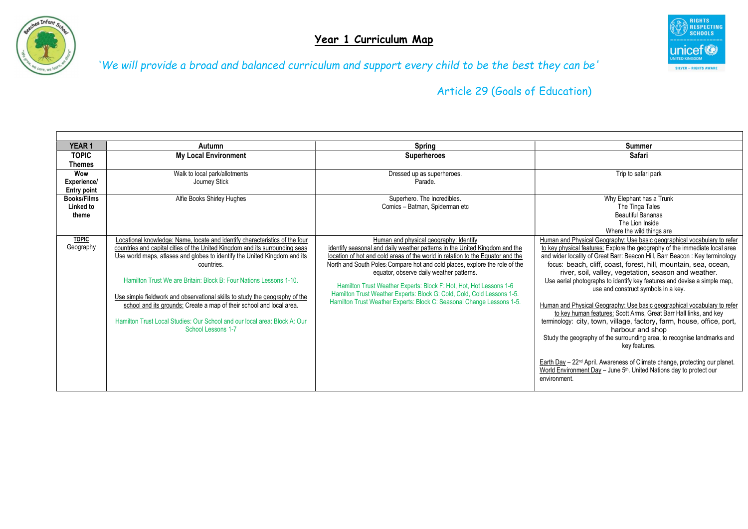



| <b>YEAR1</b>       | Autumn                                                                      | <b>Spring</b>                                                                  | <b>Summer</b>                                                                                                   |
|--------------------|-----------------------------------------------------------------------------|--------------------------------------------------------------------------------|-----------------------------------------------------------------------------------------------------------------|
| <b>TOPIC</b>       | <b>My Local Environment</b>                                                 | <b>Superheroes</b>                                                             | <b>Safari</b>                                                                                                   |
| Themes             |                                                                             |                                                                                |                                                                                                                 |
| Wow                | Walk to local park/allotments                                               | Dressed up as superheroes.                                                     | Trip to safari park                                                                                             |
| Experience/        | Journey Stick                                                               | Parade.                                                                        |                                                                                                                 |
| <b>Entry point</b> |                                                                             |                                                                                |                                                                                                                 |
| <b>Books/Films</b> | Alfie Books Shirley Hughes                                                  | Superhero. The Incredibles.                                                    | Why Elephant has a Trunk                                                                                        |
| Linked to          |                                                                             | Comics - Batman, Spiderman etc                                                 | The Tinga Tales                                                                                                 |
| theme              |                                                                             |                                                                                | <b>Beautiful Bananas</b>                                                                                        |
|                    |                                                                             |                                                                                | The Lion Inside                                                                                                 |
|                    |                                                                             |                                                                                | Where the wild things are                                                                                       |
| <b>TOPIC</b>       | Locational knowledge: Name, locate and identify characteristics of the four | Human and physical geography: Identify                                         | Human and Physical Geography: Use basic geographical vocabulary to refer                                        |
| Geography          | countries and capital cities of the United Kingdom and its surrounding seas | identify seasonal and daily weather patterns in the United Kingdom and the     | to key physical features: Explore the geography of the immediate local area                                     |
|                    | Use world maps, atlases and globes to identify the United Kingdom and its   | location of hot and cold areas of the world in relation to the Equator and the | and wider locality of Great Barr: Beacon Hill, Barr Beacon: Key terminology                                     |
|                    | countries.                                                                  | North and South Poles: Compare hot and cold places, explore the role of the    | focus: beach, cliff, coast, forest, hill, mountain, sea, ocean,                                                 |
|                    | Hamilton Trust We are Britain: Block B: Four Nations Lessons 1-10.          | equator, observe daily weather patterns.                                       | river, soil, valley, vegetation, season and weather.                                                            |
|                    |                                                                             | Hamilton Trust Weather Experts: Block F: Hot, Hot, Hot Lessons 1-6             | Use aerial photographs to identify key features and devise a simple map,<br>use and construct symbols in a key. |
|                    | Use simple fieldwork and observational skills to study the geography of the | Hamilton Trust Weather Experts: Block G: Cold, Cold, Cold Lessons 1-5.         |                                                                                                                 |
|                    | school and its grounds: Create a map of their school and local area.        | Hamilton Trust Weather Experts: Block C: Seasonal Change Lessons 1-5.          | Human and Physical Geography: Use basic geographical vocabulary to refer                                        |
|                    |                                                                             |                                                                                | to key human features: Scott Arms, Great Barr Hall links, and key                                               |
|                    | Hamilton Trust Local Studies: Our School and our local area: Block A: Our   |                                                                                | terminology: city, town, village, factory, farm, house, office, port,                                           |
|                    | School Lessons 1-7                                                          |                                                                                | harbour and shop                                                                                                |
|                    |                                                                             |                                                                                | Study the geography of the surrounding area, to recognise landmarks and                                         |
|                    |                                                                             |                                                                                | key features.                                                                                                   |
|                    |                                                                             |                                                                                |                                                                                                                 |
|                    |                                                                             |                                                                                | Earth Day - 22 <sup>nd</sup> April. Awareness of Climate change, protecting our planet.                         |
|                    |                                                                             |                                                                                | World Environment Day - June 5 <sup>th</sup> . United Nations day to protect our                                |
|                    |                                                                             |                                                                                | environment.                                                                                                    |
|                    |                                                                             |                                                                                |                                                                                                                 |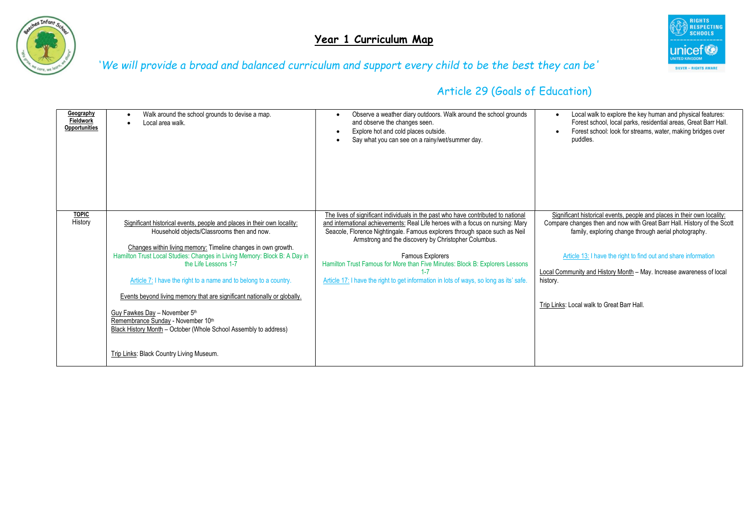



| Geography<br>Fieldwork<br>Opportunities | Walk around the school grounds to devise a map.<br>Local area walk.                                                                                                                                                                                                                                                                                                                                                                                                                                                                                                                                                                 | Observe a weather diary outdoors. Walk around the school grounds<br>and observe the changes seen.<br>Explore hot and cold places outside.<br>Say what you can see on a rainy/wet/summer day.                                                                                                                                                                                                                                                                                                                              | Local walk to explore the key human and physical features:<br>Forest school, local parks, residential areas, Great Barr Hall.<br>Forest school: look for streams, water, making bridges over<br>$\bullet$<br>puddles.                                                                                                                                                                                          |
|-----------------------------------------|-------------------------------------------------------------------------------------------------------------------------------------------------------------------------------------------------------------------------------------------------------------------------------------------------------------------------------------------------------------------------------------------------------------------------------------------------------------------------------------------------------------------------------------------------------------------------------------------------------------------------------------|---------------------------------------------------------------------------------------------------------------------------------------------------------------------------------------------------------------------------------------------------------------------------------------------------------------------------------------------------------------------------------------------------------------------------------------------------------------------------------------------------------------------------|----------------------------------------------------------------------------------------------------------------------------------------------------------------------------------------------------------------------------------------------------------------------------------------------------------------------------------------------------------------------------------------------------------------|
| <b>TOPIC</b><br>History                 | Significant historical events, people and places in their own locality:<br>Household objects/Classrooms then and now.<br>Changes within living memory: Timeline changes in own growth.<br>Hamilton Trust Local Studies: Changes in Living Memory: Block B: A Day in<br>the Life Lessons 1-7<br>Article 7: I have the right to a name and to belong to a country.<br>Events beyond living memory that are significant nationally or globally.<br>Guy Fawkes Day - November 5th<br>Remembrance Sunday - November 10th<br>Black History Month – October (Whole School Assembly to address)<br>Trip Links: Black Country Living Museum. | The lives of significant individuals in the past who have contributed to national<br>and international achievements: Real Life heroes with a focus on nursing: Mary<br>Seacole, Florence Nightingale. Famous explorers through space such as Neil<br>Armstrong and the discovery by Christopher Columbus.<br><b>Famous Explorers</b><br>Hamilton Trust Famous for More than Five Minutes: Block B: Explorers Lessons<br>$1 - 7$<br>Article 17: I have the right to get information in lots of ways, so long as its' safe. | Significant historical events, people and places in their own locality:<br>Compare changes then and now with Great Barr Hall. History of the Scott<br>family, exploring change through aerial photography.<br>Article 13: I have the right to find out and share information<br>Local Community and History Month - May. Increase awareness of local<br>history.<br>Trip Links: Local walk to Great Barr Hall. |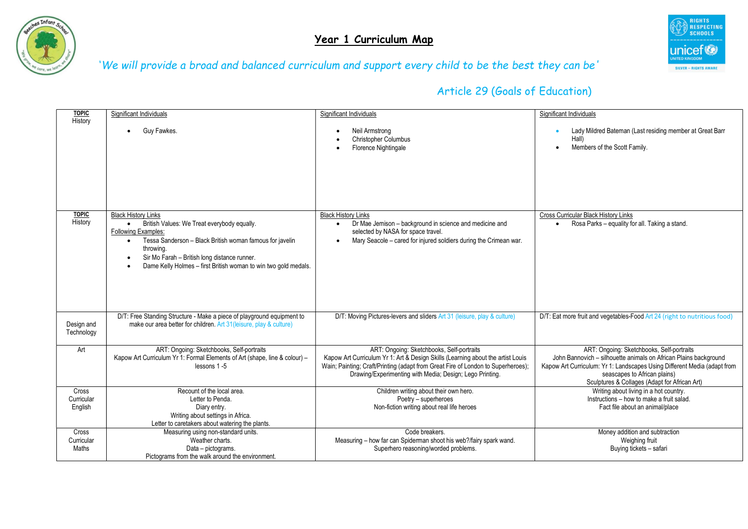



| <b>TOPIC</b>                   | Significant Individuals                                                                                                                                                                                                                                                                                                       | Significant Individuals                                                                                                                                                                                                                                                      | Significant Individuals                                                                                                                                                                                                                                                    |
|--------------------------------|-------------------------------------------------------------------------------------------------------------------------------------------------------------------------------------------------------------------------------------------------------------------------------------------------------------------------------|------------------------------------------------------------------------------------------------------------------------------------------------------------------------------------------------------------------------------------------------------------------------------|----------------------------------------------------------------------------------------------------------------------------------------------------------------------------------------------------------------------------------------------------------------------------|
| History                        | Guy Fawkes.                                                                                                                                                                                                                                                                                                                   | Neil Armstrong<br><b>Christopher Columbus</b><br>Florence Nightingale                                                                                                                                                                                                        | Lady Mildred Bateman (Last residing member at Great Barr<br>Hall)<br>Members of the Scott Family.                                                                                                                                                                          |
| <b>TOPIC</b><br>History        | <b>Black History Links</b><br>British Values: We Treat everybody equally.<br>$\bullet$<br><b>Following Examples:</b><br>Tessa Sanderson - Black British woman famous for javelin<br>$\bullet$<br>throwing.<br>Sir Mo Farah - British long distance runner.<br>Dame Kelly Holmes - first British woman to win two gold medals. | <b>Black History Links</b><br>Dr Mae Jemison - background in science and medicine and<br>selected by NASA for space travel.<br>Mary Seacole - cared for injured soldiers during the Crimean war.                                                                             | <b>Cross Curricular Black History Links</b><br>Rosa Parks - equality for all. Taking a stand.<br>$\bullet$                                                                                                                                                                 |
| Design and<br>Technology       | D/T: Free Standing Structure - Make a piece of playground equipment to<br>make our area better for children. Art 31 (leisure, play & culture)                                                                                                                                                                                 | D/T: Moving Pictures-levers and sliders Art 31 (leisure, play & culture)                                                                                                                                                                                                     | D/T: Eat more fruit and vegetables-Food Art 24 (right to nutritious food)                                                                                                                                                                                                  |
| Art                            | ART: Ongoing: Sketchbooks, Self-portraits<br>Kapow Art Curriculum Yr 1: Formal Elements of Art (shape, line & colour) -<br>lessons 1-5                                                                                                                                                                                        | ART: Ongoing: Sketchbooks, Self-portraits<br>Kapow Art Curriculum Yr 1: Art & Design Skills (Learning about the artist Louis<br>Wain; Painting; Craft/Printing (adapt from Great Fire of London to Superheroes);<br>Drawing/Experimenting with Media; Design; Lego Printing. | ART: Ongoing: Sketchbooks, Self-portraits<br>John Bannovich - silhouette animals on African Plains background<br>Kapow Art Curriculum: Yr 1: Landscapes Using Different Media (adapt from<br>seascapes to African plains)<br>Sculptures & Collages (Adapt for African Art) |
| Cross<br>Curricular<br>English | Recount of the local area.<br>Letter to Penda.<br>Diary entry.<br>Writing about settings in Africa.<br>Letter to caretakers about watering the plants.                                                                                                                                                                        | Children writing about their own hero.<br>Poetry - superheroes<br>Non-fiction writing about real life heroes                                                                                                                                                                 | Writing about living in a hot country.<br>Instructions - how to make a fruit salad.<br>Fact file about an animal/place                                                                                                                                                     |
| Cross<br>Curricular<br>Maths   | Measuring using non-standard units.<br>Weather charts.<br>Data - pictograms.<br>Pictograms from the walk around the environment.                                                                                                                                                                                              | Code breakers.<br>Measuring - how far can Spiderman shoot his web?/fairy spark wand.<br>Superhero reasoning/worded problems.                                                                                                                                                 | Money addition and subtraction<br>Weighing fruit<br>Buying tickets - safari                                                                                                                                                                                                |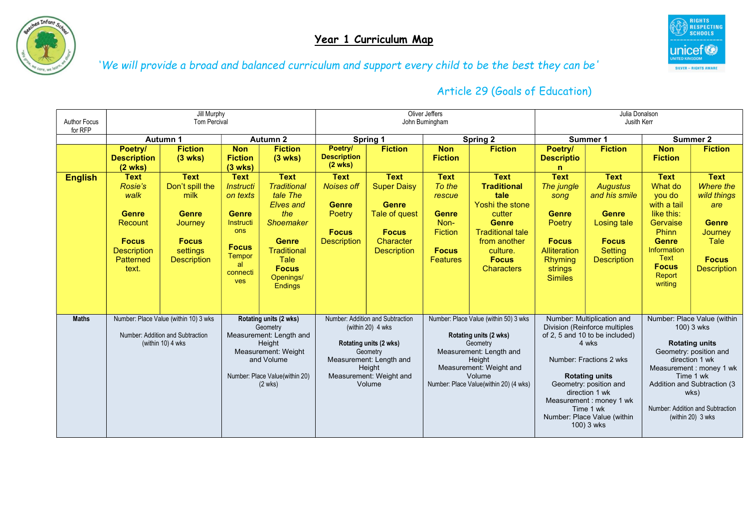



| <b>Author Focus</b> | Jill Murphy<br>Tom Percival                                                                                           |                                                                                                                     |                                                                                                                                                         | Oliver Jeffers<br>John Burningham                                                                                                                                           |                                                                                                  |                                                                                                                                                                       | Julia Donalson<br>Jusith Kerr                                                                                |                                                                                                                                                                                                 |                                                                                                                                     |                                                                                                                                                                                                                                                                                             |                                                                                                                                                                |                                                                                                                                                                                                                                                        |
|---------------------|-----------------------------------------------------------------------------------------------------------------------|---------------------------------------------------------------------------------------------------------------------|---------------------------------------------------------------------------------------------------------------------------------------------------------|-----------------------------------------------------------------------------------------------------------------------------------------------------------------------------|--------------------------------------------------------------------------------------------------|-----------------------------------------------------------------------------------------------------------------------------------------------------------------------|--------------------------------------------------------------------------------------------------------------|-------------------------------------------------------------------------------------------------------------------------------------------------------------------------------------------------|-------------------------------------------------------------------------------------------------------------------------------------|---------------------------------------------------------------------------------------------------------------------------------------------------------------------------------------------------------------------------------------------------------------------------------------------|----------------------------------------------------------------------------------------------------------------------------------------------------------------|--------------------------------------------------------------------------------------------------------------------------------------------------------------------------------------------------------------------------------------------------------|
| for RFP             |                                                                                                                       |                                                                                                                     |                                                                                                                                                         |                                                                                                                                                                             |                                                                                                  |                                                                                                                                                                       |                                                                                                              |                                                                                                                                                                                                 |                                                                                                                                     |                                                                                                                                                                                                                                                                                             |                                                                                                                                                                |                                                                                                                                                                                                                                                        |
|                     | <b>Autumn 2</b><br>Autumn 1                                                                                           |                                                                                                                     | <b>Spring 2</b><br>Spring 1                                                                                                                             |                                                                                                                                                                             | Summer 1                                                                                         |                                                                                                                                                                       | Summer 2                                                                                                     |                                                                                                                                                                                                 |                                                                                                                                     |                                                                                                                                                                                                                                                                                             |                                                                                                                                                                |                                                                                                                                                                                                                                                        |
|                     | Poetry/<br><b>Description</b><br>$(2 \text{ wks})$                                                                    | <b>Fiction</b><br>$(3$ wks)                                                                                         | <b>Non</b><br><b>Fiction</b><br>$(3$ wks)                                                                                                               | <b>Fiction</b><br>$(3$ wks)                                                                                                                                                 | Poetry/<br><b>Description</b><br>$(2 \text{ wks})$                                               | <b>Fiction</b>                                                                                                                                                        | <b>Non</b><br><b>Fiction</b>                                                                                 | <b>Fiction</b>                                                                                                                                                                                  | Poetry/<br><b>Descriptio</b><br>n                                                                                                   | <b>Fiction</b>                                                                                                                                                                                                                                                                              | <b>Non</b><br><b>Fiction</b>                                                                                                                                   | <b>Fiction</b>                                                                                                                                                                                                                                         |
| <b>English</b>      | <b>Text</b><br>Rosie's<br>walk<br><b>Genre</b><br>Recount<br><b>Focus</b><br><b>Description</b><br>Patterned<br>text. | <b>Text</b><br>Don't spill the<br>milk<br><b>Genre</b><br>Journey<br><b>Focus</b><br>settings<br><b>Description</b> | <b>Text</b><br><b>Instructi</b><br>on texts<br><b>Genre</b><br>Instructi<br><b>ons</b><br><b>Focus</b><br><b>Tempor</b><br>al<br>connecti<br><b>ves</b> | <b>Text</b><br><b>Traditional</b><br>tale The<br>Elves and<br>the<br><b>Shoemaker</b><br><b>Genre</b><br>Traditional<br>Tale<br><b>Focus</b><br>Openings/<br><b>Endings</b> | <b>Text</b><br><b>Noises off</b><br><b>Genre</b><br>Poetry<br><b>Focus</b><br><b>Description</b> | <b>Text</b><br><b>Super Daisy</b><br><b>Genre</b><br>Tale of quest<br><b>Focus</b><br>Character<br><b>Description</b>                                                 | <b>Text</b><br>To the<br>rescue<br><b>Genre</b><br>Non-<br><b>Fiction</b><br><b>Focus</b><br><b>Features</b> | <b>Text</b><br><b>Traditional</b><br>tale<br>Yoshi the stone<br>cutter<br><b>Genre</b><br><b>Traditional tale</b><br>from another<br>culture.<br><b>Focus</b><br><b>Characters</b>              | <b>Text</b><br>The jungle<br>song<br><b>Genre</b><br>Poetry<br><b>Focus</b><br>Alliteration<br>Rhyming<br>strings<br><b>Similes</b> | <b>Text</b><br><b>Augustus</b><br>and his smile<br><b>Genre</b><br>Losing tale<br><b>Focus</b><br><b>Setting</b><br><b>Description</b>                                                                                                                                                      | <b>Text</b><br>What do<br>you do<br>with a tail<br>like this:<br>Gervaise<br>Phinn<br><b>Genre</b><br>Information<br>Text<br><b>Focus</b><br>Report<br>writing | <b>Text</b><br>Where the<br>wild things<br>are<br><b>Genre</b><br>Journey<br><b>Tale</b><br><b>Focus</b><br><b>Description</b>                                                                                                                         |
| <b>Maths</b>        |                                                                                                                       | Number: Place Value (within 10) 3 wks<br>Number: Addition and Subtraction<br>(within 10) 4 wks                      |                                                                                                                                                         | Rotating units (2 wks)<br>Geometry<br>Measurement: Length and<br>Height<br>Measurement: Weight<br>and Volume<br>Number: Place Value(within 20)<br>$(2 \text{ wks})$         |                                                                                                  | Number: Addition and Subtraction<br>(within 20) 4 wks<br>Rotating units (2 wks)<br>Geometry<br>Measurement: Length and<br>Height<br>Measurement: Weight and<br>Volume |                                                                                                              | Number: Place Value (within 50) 3 wks<br>Rotating units (2 wks)<br>Geometry<br>Measurement: Length and<br>Height<br>Measurement: Weight and<br>Volume<br>Number: Place Value(within 20) (4 wks) |                                                                                                                                     | Number: Multiplication and<br>Division (Reinforce multiples<br>of 2, 5 and 10 to be included)<br>4 wks<br>Number: Fractions 2 wks<br><b>Rotating units</b><br>Geometry: position and<br>direction 1 wk<br>Measurement: money 1 wk<br>Time 1 wk<br>Number: Place Value (within<br>100) 3 wks |                                                                                                                                                                | Number: Place Value (within<br>100) 3 wks<br><b>Rotating units</b><br>Geometry: position and<br>direction 1 wk<br>Measurement: money 1 wk<br>Time 1 wk<br>Addition and Subtraction (3<br>wks)<br>Number: Addition and Subtraction<br>(within 20) 3 wks |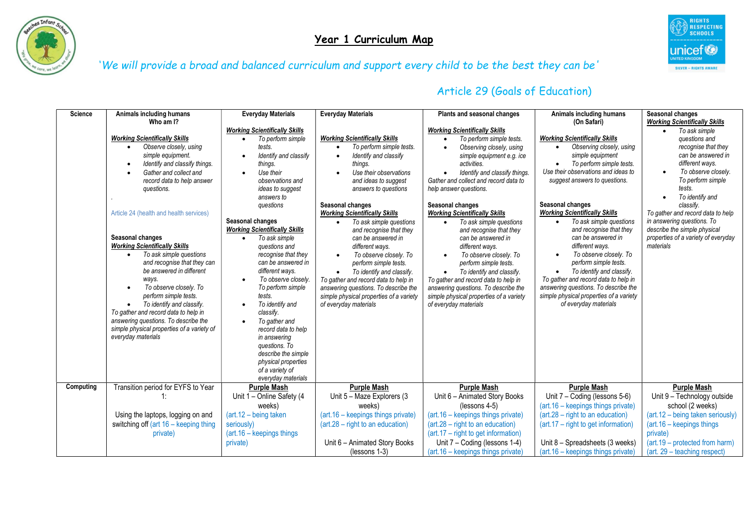



| <b>Science</b> | Animals including humans                                                                                                                                                                                                                                                                                                                                                                                                                                                                                                                                                                                                                                                                              | <b>Everyday Materials</b>                                                                                                                                                                                                                                                                                                                                                                                                                                                                                                                                                                                                                                                        | <b>Everyday Materials</b>                                                                                                                                                                                                                                                                                                                                                                                                                                                                                                                                                                  | Plants and seasonal changes                                                                                                                                                                                                                                                                                                                                                                                                                                                                                                                                                                                                                                                                                  | Animals including humans                                                                                                                                                                                                                                                                                                                                                                                                                                                                                                                                                                               | Seasonal changes                                                                                                                                                                                                                                                                                                                                                                                                           |
|----------------|-------------------------------------------------------------------------------------------------------------------------------------------------------------------------------------------------------------------------------------------------------------------------------------------------------------------------------------------------------------------------------------------------------------------------------------------------------------------------------------------------------------------------------------------------------------------------------------------------------------------------------------------------------------------------------------------------------|----------------------------------------------------------------------------------------------------------------------------------------------------------------------------------------------------------------------------------------------------------------------------------------------------------------------------------------------------------------------------------------------------------------------------------------------------------------------------------------------------------------------------------------------------------------------------------------------------------------------------------------------------------------------------------|--------------------------------------------------------------------------------------------------------------------------------------------------------------------------------------------------------------------------------------------------------------------------------------------------------------------------------------------------------------------------------------------------------------------------------------------------------------------------------------------------------------------------------------------------------------------------------------------|--------------------------------------------------------------------------------------------------------------------------------------------------------------------------------------------------------------------------------------------------------------------------------------------------------------------------------------------------------------------------------------------------------------------------------------------------------------------------------------------------------------------------------------------------------------------------------------------------------------------------------------------------------------------------------------------------------------|--------------------------------------------------------------------------------------------------------------------------------------------------------------------------------------------------------------------------------------------------------------------------------------------------------------------------------------------------------------------------------------------------------------------------------------------------------------------------------------------------------------------------------------------------------------------------------------------------------|----------------------------------------------------------------------------------------------------------------------------------------------------------------------------------------------------------------------------------------------------------------------------------------------------------------------------------------------------------------------------------------------------------------------------|
|                | Who am I?<br><b>Working Scientifically Skills</b><br>Observe closely, using<br>$\bullet$<br>simple equipment.<br>Identify and classify things.<br>Gather and collect and<br>record data to help answer<br>questions.<br>Article 24 (health and health services)<br>Seasonal changes<br><b>Working Scientifically Skills</b><br>To ask simple questions<br>$\bullet$<br>and recognise that they can<br>be answered in different<br>ways.<br>To observe closely. To<br>$\bullet$<br>perform simple tests.<br>To identify and classify.<br>$\bullet$<br>To gather and record data to help in<br>answering questions. To describe the<br>simple physical properties of a variety of<br>everyday materials | <b>Working Scientifically Skills</b><br>To perform simple<br>$\bullet$<br>tests.<br>Identify and classify<br>$\bullet$<br>things.<br>Use their<br>$\bullet$<br>observations and<br>ideas to suggest<br>answers to<br>questions<br>Seasonal changes<br><b>Working Scientifically Skills</b><br>To ask simple<br>$\bullet$<br>questions and<br>recognise that they<br>can be answered in<br>different ways.<br>To observe closely.<br>$\bullet$<br>To perform simple<br>tests.<br>To identify and<br>$\bullet$<br>classify.<br>To gather and<br>$\bullet$<br>record data to help<br>in answering<br>questions. To<br>describe the simple<br>physical properties<br>of a variety of | <b>Working Scientifically Skills</b><br>To perform simple tests.<br>Identify and classify<br>things.<br>Use their observations<br>and ideas to suggest<br>answers to questions<br>Seasonal changes<br><b>Working Scientifically Skills</b><br>To ask simple questions<br>and recognise that they<br>can be answered in<br>different ways.<br>To observe closely. To<br>$\bullet$<br>perform simple tests.<br>To identify and classify.<br>To gather and record data to help in<br>answering questions. To describe the<br>simple physical properties of a variety<br>of everyday materials | <b>Working Scientifically Skills</b><br>To perform simple tests.<br>Observing closely, using<br>$\bullet$<br>simple equipment e.g. ice<br>activities.<br>Identify and classify things.<br>$\bullet$<br>Gather and collect and record data to<br>help answer questions.<br>Seasonal changes<br><b>Working Scientifically Skills</b><br>To ask simple questions<br>$\bullet$<br>and recognise that they<br>can be answered in<br>different ways.<br>To observe closely. To<br>$\bullet$<br>perform simple tests.<br>To identify and classify.<br>$\bullet$<br>To gather and record data to help in<br>answering questions. To describe the<br>simple physical properties of a variety<br>of everyday materials | (On Safari)<br><b>Working Scientifically Skills</b><br>Observing closely, using<br>simple equipment<br>To perform simple tests.<br>Use their observations and ideas to<br>suggest answers to questions.<br>Seasonal changes<br><b>Working Scientifically Skills</b><br>To ask simple questions<br>and recognise that they<br>can be answered in<br>different ways.<br>To observe closely. To<br>perform simple tests.<br>To identify and classify.<br>To gather and record data to help in<br>answering questions. To describe the<br>simple physical properties of a variety<br>of everyday materials | <b>Working Scientifically Skills</b><br>To ask simple<br>$\bullet$<br>questions and<br>recognise that they<br>can be answered in<br>different ways.<br>To observe closely.<br>$\bullet$<br>To perform simple<br>tests.<br>To identify and<br>$\bullet$<br>classify.<br>To gather and record data to help<br>in answering questions. To<br>describe the simple physical<br>properties of a variety of everyday<br>materials |
| Computing      | Transition period for EYFS to Year                                                                                                                                                                                                                                                                                                                                                                                                                                                                                                                                                                                                                                                                    | everyday materials                                                                                                                                                                                                                                                                                                                                                                                                                                                                                                                                                                                                                                                               |                                                                                                                                                                                                                                                                                                                                                                                                                                                                                                                                                                                            |                                                                                                                                                                                                                                                                                                                                                                                                                                                                                                                                                                                                                                                                                                              |                                                                                                                                                                                                                                                                                                                                                                                                                                                                                                                                                                                                        |                                                                                                                                                                                                                                                                                                                                                                                                                            |
|                | 1:                                                                                                                                                                                                                                                                                                                                                                                                                                                                                                                                                                                                                                                                                                    | <b>Purple Mash</b><br>Unit 1 - Online Safety (4<br>weeks)                                                                                                                                                                                                                                                                                                                                                                                                                                                                                                                                                                                                                        | <b>Purple Mash</b><br>Unit 5 - Maze Explorers (3<br>weeks)                                                                                                                                                                                                                                                                                                                                                                                                                                                                                                                                 | <b>Purple Mash</b><br>Unit 6 - Animated Story Books<br>$(lessness 4-5)$                                                                                                                                                                                                                                                                                                                                                                                                                                                                                                                                                                                                                                      | <b>Purple Mash</b><br>Unit 7 - Coding (lessons 5-6)<br>(art.16 - keepings things private)                                                                                                                                                                                                                                                                                                                                                                                                                                                                                                              | <b>Purple Mash</b><br>Unit 9 - Technology outside<br>school (2 weeks)                                                                                                                                                                                                                                                                                                                                                      |
|                | Using the laptops, logging on and                                                                                                                                                                                                                                                                                                                                                                                                                                                                                                                                                                                                                                                                     | (art.12 - being taken                                                                                                                                                                                                                                                                                                                                                                                                                                                                                                                                                                                                                                                            | (art.16 - keepings things private)                                                                                                                                                                                                                                                                                                                                                                                                                                                                                                                                                         | (art.16 - keepings things private)                                                                                                                                                                                                                                                                                                                                                                                                                                                                                                                                                                                                                                                                           | $(\text{art.28} - \text{right to an education})$                                                                                                                                                                                                                                                                                                                                                                                                                                                                                                                                                       | (art.12 - being taken seriously)                                                                                                                                                                                                                                                                                                                                                                                           |
|                | switching off (art 16 - keeping thing                                                                                                                                                                                                                                                                                                                                                                                                                                                                                                                                                                                                                                                                 | seriously)                                                                                                                                                                                                                                                                                                                                                                                                                                                                                                                                                                                                                                                                       | $(art.28 - right to an education)$                                                                                                                                                                                                                                                                                                                                                                                                                                                                                                                                                         | $(\text{art}.28 - \text{right to an education})$<br>(art.17 – right to get information)                                                                                                                                                                                                                                                                                                                                                                                                                                                                                                                                                                                                                      | (art.17 – right to get information)                                                                                                                                                                                                                                                                                                                                                                                                                                                                                                                                                                    | (art.16 - keepings things                                                                                                                                                                                                                                                                                                                                                                                                  |
|                | private)                                                                                                                                                                                                                                                                                                                                                                                                                                                                                                                                                                                                                                                                                              | $(\text{art.16} - \text{keeping things})$<br>private)                                                                                                                                                                                                                                                                                                                                                                                                                                                                                                                                                                                                                            | Unit 6 - Animated Story Books                                                                                                                                                                                                                                                                                                                                                                                                                                                                                                                                                              | Unit 7 - Coding (lessons 1-4)                                                                                                                                                                                                                                                                                                                                                                                                                                                                                                                                                                                                                                                                                | Unit $8$ – Spreadsheets (3 weeks)                                                                                                                                                                                                                                                                                                                                                                                                                                                                                                                                                                      | private)<br>(art.19 – protected from harm)                                                                                                                                                                                                                                                                                                                                                                                 |
|                |                                                                                                                                                                                                                                                                                                                                                                                                                                                                                                                                                                                                                                                                                                       |                                                                                                                                                                                                                                                                                                                                                                                                                                                                                                                                                                                                                                                                                  | $(lessness 1-3)$                                                                                                                                                                                                                                                                                                                                                                                                                                                                                                                                                                           | (art.16 – keepings things private)                                                                                                                                                                                                                                                                                                                                                                                                                                                                                                                                                                                                                                                                           | (art.16 – keepings things private)                                                                                                                                                                                                                                                                                                                                                                                                                                                                                                                                                                     | (art. 29 - teaching respect)                                                                                                                                                                                                                                                                                                                                                                                               |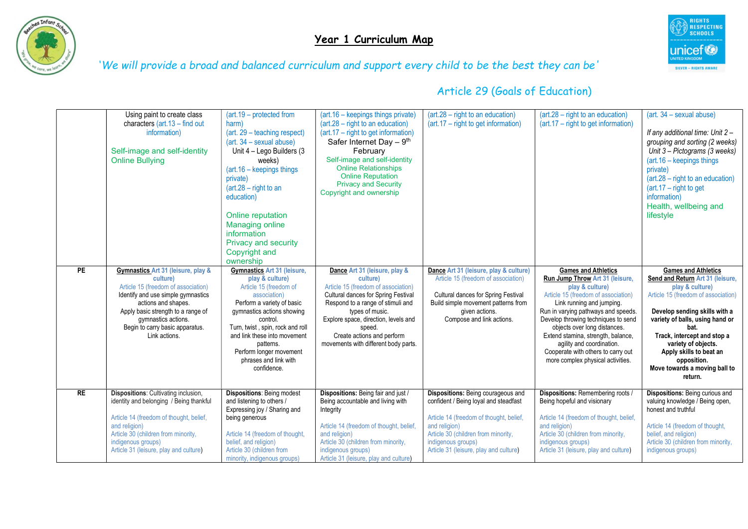

# Year 1 Curriculum Map



'We will provide a broad and balanced curriculum and support every child to be the best they can be'

|           | Using paint to create class<br>characters $(art.13 - find out)$<br>information)<br>Self-image and self-identity<br><b>Online Bullying</b>                                                                                                                           | $(\text{art.19} - \text{protected from})$<br>harm)<br>(art. 29 – teaching respect)<br>$(art. 34 - sexual abuse)$<br>Unit 4 - Lego Builders (3)<br>weeks)<br>(art.16 - keepings things<br>private)<br>$(\text{art.}28 - \text{right to an})$<br>education)<br>Online reputation<br><b>Managing online</b><br>information<br><b>Privacy and security</b><br>Copyright and<br>ownership | (art.16 – keepings things private)<br>$(art.28 - right to an education)$<br>(art.17 - right to get information)<br>Safer Internet Day $-9th$<br>February<br>Self-image and self-identity<br><b>Online Relationships</b><br><b>Online Reputation</b><br><b>Privacy and Security</b><br>Copyright and ownership | $(art.28 - right to an education)$<br>$(art.17 - right to get information)$                                                                                                                                                                    | $(\text{art.28} - \text{right to an education})$<br>(art.17 – right to get information)                                                                                                                                                                                                                                                                                                                          | (art. 34 - sexual abuse)<br>If any additional time: Unit 2-<br>grouping and sorting (2 weeks)<br>Unit 3 - Pictograms (3 weeks)<br>$(\text{art.16} - \text{keeping things})$<br>private)<br>$(\text{art.}28 - \text{right to an education})$<br>$(art.17 - right to get)$<br>information)<br>Health, wellbeing and<br>lifestyle                   |
|-----------|---------------------------------------------------------------------------------------------------------------------------------------------------------------------------------------------------------------------------------------------------------------------|--------------------------------------------------------------------------------------------------------------------------------------------------------------------------------------------------------------------------------------------------------------------------------------------------------------------------------------------------------------------------------------|---------------------------------------------------------------------------------------------------------------------------------------------------------------------------------------------------------------------------------------------------------------------------------------------------------------|------------------------------------------------------------------------------------------------------------------------------------------------------------------------------------------------------------------------------------------------|------------------------------------------------------------------------------------------------------------------------------------------------------------------------------------------------------------------------------------------------------------------------------------------------------------------------------------------------------------------------------------------------------------------|--------------------------------------------------------------------------------------------------------------------------------------------------------------------------------------------------------------------------------------------------------------------------------------------------------------------------------------------------|
| PE        | Gymnastics Art 31 (leisure, play &<br>culture)<br>Article 15 (freedom of association)<br>Identify and use simple gymnastics<br>actions and shapes.<br>Apply basic strength to a range of<br>gymnastics actions.<br>Begin to carry basic apparatus.<br>Link actions. | <b>Gymnastics Art 31 (leisure,</b><br>play & culture)<br>Article 15 (freedom of<br>association)<br>Perform a variety of basic<br>gymnastics actions showing<br>control.<br>Turn, twist, spin, rock and roll<br>and link these into movement<br>patterns.<br>Perform longer movement<br>phrases and link with<br>confidence.                                                          | Dance Art 31 (leisure, play &<br>culture)<br>Article 15 (freedom of association)<br>Cultural dances for Spring Festival<br>Respond to a range of stimuli and<br>types of music.<br>Explore space, direction, levels and<br>speed.<br>Create actions and perform<br>movements with different body parts.       | Dance Art 31 (leisure, play & culture)<br>Article 15 (freedom of association)<br>Cultural dances for Spring Festival<br>Build simple movement patterns from<br>given actions.<br>Compose and link actions.                                     | <b>Games and Athletics</b><br>Run Jump Throw Art 31 (leisure,<br>play & culture)<br>Article 15 (freedom of association)<br>Link running and jumping.<br>Run in varying pathways and speeds.<br>Develop throwing techniques to send<br>objects over long distances.<br>Extend stamina, strength, balance,<br>agility and coordination.<br>Cooperate with others to carry out<br>more complex physical activities. | <b>Games and Athletics</b><br>Send and Return Art 31 (leisure,<br>play & culture)<br>Article 15 (freedom of association)<br>Develop sending skills with a<br>variety of balls, using hand or<br>bat.<br>Track, intercept and stop a<br>variety of objects.<br>Apply skills to beat an<br>opposition.<br>Move towards a moving ball to<br>return. |
| <b>RE</b> | <b>Dispositions:</b> Cultivating inclusion,<br>identity and belonging / Being thankful<br>Article 14 (freedom of thought, belief,<br>and religion)<br>Article 30 (children from minority,<br>indigenous groups)<br>Article 31 (leisure, play and culture)           | <b>Dispositions: Being modest</b><br>and listening to others /<br>Expressing joy / Sharing and<br>being generous<br>Article 14 (freedom of thought,<br>belief, and religion)<br>Article 30 (children from<br>minority, indigenous groups)                                                                                                                                            | Dispositions: Being fair and just /<br>Being accountable and living with<br>Integrity<br>Article 14 (freedom of thought, belief,<br>and religion)<br>Article 30 (children from minority,<br>indigenous groups)<br>Article 31 (leisure, play and culture)                                                      | Dispositions: Being courageous and<br>confident / Being loyal and steadfast<br>Article 14 (freedom of thought, belief,<br>and religion)<br>Article 30 (children from minority,<br>indigenous groups)<br>Article 31 (leisure, play and culture) | Dispositions: Remembering roots /<br>Being hopeful and visionary<br>Article 14 (freedom of thought, belief,<br>and religion)<br>Article 30 (children from minority,<br>indigenous groups)<br>Article 31 (leisure, play and culture)                                                                                                                                                                              | <b>Dispositions:</b> Being curious and<br>valuing knowledge / Being open,<br>honest and truthful<br>Article 14 (freedom of thought,<br>belief, and religion)<br>Article 30 (children from minority,<br>indigenous groups)                                                                                                                        |